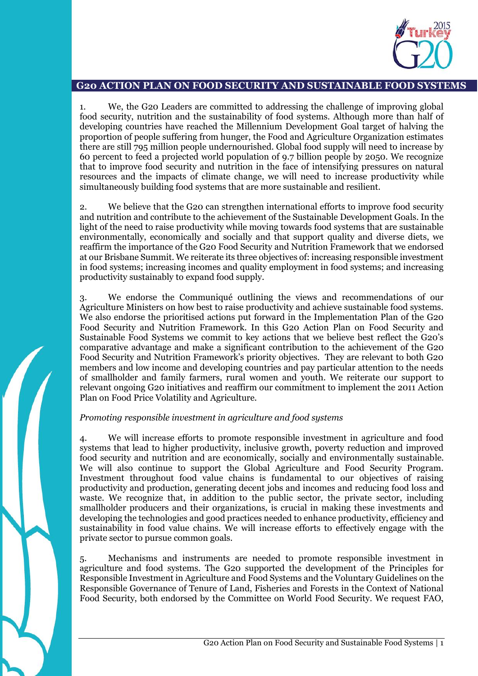

# **G20 ACTION PLAN ON FOOD SECURITY AND SUSTAINABLE FOOD SYSTEMS**

1. We, the G20 Leaders are committed to addressing the challenge of improving global food security, nutrition and the sustainability of food systems. Although more than half of developing countries have reached the Millennium Development Goal target of halving the proportion of people suffering from hunger, the Food and Agriculture Organization estimates there are still 795 million people undernourished. Global food supply will need to increase by 60 percent to feed a projected world population of 9.7 billion people by 2050. We recognize that to improve food security and nutrition in the face of intensifying pressures on natural resources and the impacts of climate change, we will need to increase productivity while simultaneously building food systems that are more sustainable and resilient.

2. We believe that the G20 can strengthen international efforts to improve food security and nutrition and contribute to the achievement of the Sustainable Development Goals. In the light of the need to raise productivity while moving towards food systems that are sustainable environmentally, economically and socially and that support quality and diverse diets, we reaffirm the importance of the G20 Food Security and Nutrition Framework that we endorsed at our Brisbane Summit. We reiterate its three objectives of: increasing responsible investment in food systems; increasing incomes and quality employment in food systems; and increasing productivity sustainably to expand food supply.

3. We endorse the Communiqué outlining the views and recommendations of our Agriculture Ministers on how best to raise productivity and achieve sustainable food systems. We also endorse the prioritised actions put forward in the Implementation Plan of the G20 Food Security and Nutrition Framework. In this G20 Action Plan on Food Security and Sustainable Food Systems we commit to key actions that we believe best reflect the G20's comparative advantage and make a significant contribution to the achievement of the G20 Food Security and Nutrition Framework's priority objectives. They are relevant to both G20 members and low income and developing countries and pay particular attention to the needs of smallholder and family farmers, rural women and youth. We reiterate our support to relevant ongoing G20 initiatives and reaffirm our commitment to implement the 2011 Action Plan on Food Price Volatility and Agriculture.

### *Promoting responsible investment in agriculture and food systems*

4. We will increase efforts to promote responsible investment in agriculture and food systems that lead to higher productivity, inclusive growth, poverty reduction and improved food security and nutrition and are economically, socially and environmentally sustainable. We will also continue to support the Global Agriculture and Food Security Program. Investment throughout food value chains is fundamental to our objectives of raising productivity and production, generating decent jobs and incomes and reducing food loss and waste. We recognize that, in addition to the public sector, the private sector, including smallholder producers and their organizations, is crucial in making these investments and developing the technologies and good practices needed to enhance productivity, efficiency and sustainability in food value chains. We will increase efforts to effectively engage with the private sector to pursue common goals.

5. Mechanisms and instruments are needed to promote responsible investment in agriculture and food systems. The G20 supported the development of the Principles for Responsible Investment in Agriculture and Food Systems and the Voluntary Guidelines on the Responsible Governance of Tenure of Land, Fisheries and Forests in the Context of National Food Security, both endorsed by the Committee on World Food Security. We request FAO,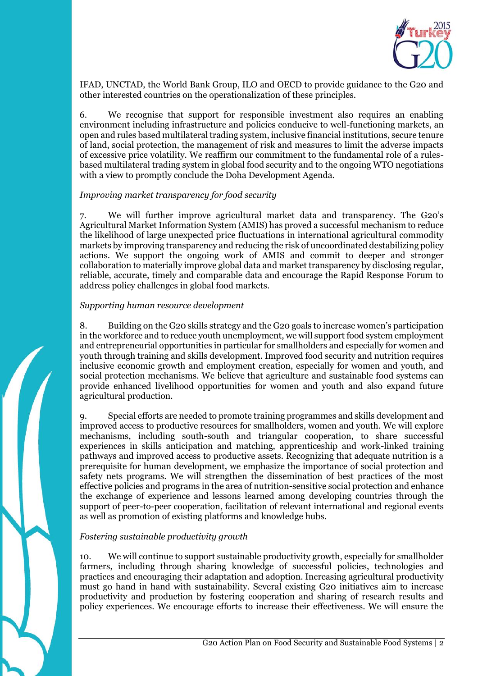

IFAD, UNCTAD, the World Bank Group, ILO and OECD to provide guidance to the G20 and other interested countries on the operationalization of these principles.

6. We recognise that support for responsible investment also requires an enabling environment including infrastructure and policies conducive to well-functioning markets, an open and rules based multilateral trading system, inclusive financial institutions, secure tenure of land, social protection, the management of risk and measures to limit the adverse impacts of excessive price volatility. We reaffirm our commitment to the fundamental role of a rulesbased multilateral trading system in global food security and to the ongoing WTO negotiations with a view to promptly conclude the Doha Development Agenda.

# *Improving market transparency for food security*

7. We will further improve agricultural market data and transparency. The G20's Agricultural Market Information System (AMIS) has proved a successful mechanism to reduce the likelihood of large unexpected price fluctuations in international agricultural commodity markets by improving transparency and reducing the risk of uncoordinated destabilizing policy actions. We support the ongoing work of AMIS and commit to deeper and stronger collaboration to materially improve global data and market transparency by disclosing regular, reliable, accurate, timely and comparable data and encourage the Rapid Response Forum to address policy challenges in global food markets.

### *Supporting human resource development*

8. Building on the G20 skills strategy and the G20 goals to increase women's participation in the workforce and to reduce youth unemployment, we will support food system employment and entrepreneurial opportunities in particular for smallholders and especially for women and youth through training and skills development. Improved food security and nutrition requires inclusive economic growth and employment creation, especially for women and youth, and social protection mechanisms. We believe that agriculture and sustainable food systems can provide enhanced livelihood opportunities for women and youth and also expand future agricultural production.

9. Special efforts are needed to promote training programmes and skills development and improved access to productive resources for smallholders, women and youth. We will explore mechanisms, including south-south and triangular cooperation, to share successful experiences in skills anticipation and matching, apprenticeship and work-linked training pathways and improved access to productive assets. Recognizing that adequate nutrition is a prerequisite for human development, we emphasize the importance of social protection and safety nets programs. We will strengthen the dissemination of best practices of the most effective policies and programs in the area of nutrition-sensitive social protection and enhance the exchange of experience and lessons learned among developing countries through the support of peer-to-peer cooperation, facilitation of relevant international and regional events as well as promotion of existing platforms and knowledge hubs.

# *Fostering sustainable productivity growth*

10. We will continue to support sustainable productivity growth, especially for smallholder farmers, including through sharing knowledge of successful policies, technologies and practices and encouraging their adaptation and adoption. Increasing agricultural productivity must go hand in hand with sustainability. Several existing G20 initiatives aim to increase productivity and production by fostering cooperation and sharing of research results and policy experiences. We encourage efforts to increase their effectiveness. We will ensure the